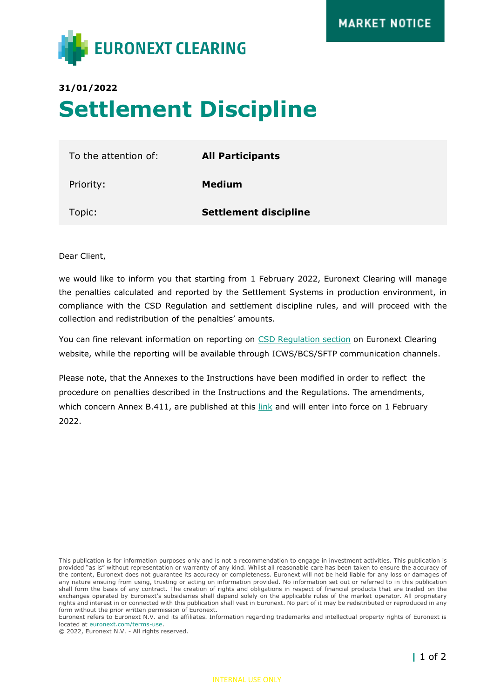

## **31/01/2022 Settlement Discipline**

| To the attention of: | <b>All Participants</b>      |
|----------------------|------------------------------|
| Priority:            | <b>Medium</b>                |
| Topic:               | <b>Settlement discipline</b> |

Dear Client,

we would like to inform you that starting from 1 February 2022, Euronext Clearing will manage the penalties calculated and reported by the Settlement Systems in production environment, in compliance with the CSD Regulation and settlement discipline rules, and will proceed with the collection and redistribution of the penalties' amounts.

You can fine relevant information on reporting on [CSD Regulation](https://www.euronext.com/it/post-trade/euronext-clearing/operations/csdr) section on Euronext Clearing website, while the reporting will be available through ICWS/BCS/SFTP communication channels.

Please note, that the Annexes to the Instructions have been modified in order to reflect the procedure on penalties described in the Instructions and the Regulations. The amendments, which concern Annex B.411, are published at this [link](https://www.euronext.com/en/post-trade/euronext-clearing/rules-and-regulations) and will enter into force on 1 February 2022.

This publication is for information purposes only and is not a recommendation to engage in investment activities. This publication is provided "as is" without representation or warranty of any kind. Whilst all reasonable care has been taken to ensure the accuracy of the content, Euronext does not guarantee its accuracy or completeness. Euronext will not be held liable for any loss or damages of any nature ensuing from using, trusting or acting on information provided. No information set out or referred to in this publication shall form the basis of any contract. The creation of rights and obligations in respect of financial products that are traded on the exchanges operated by Euronext's subsidiaries shall depend solely on the applicable rules of the market operator. All proprietary rights and interest in or connected with this publication shall vest in Euronext. No part of it may be redistributed or reproduced in any form without the prior written permission of Euronext.

Euronext refers to Euronext N.V. and its affiliates. Information regarding trademarks and intellectual property rights of Euronext is located at [euronext.com/terms-use.](https://www.euronext.com/terms-use)

© 2022, Euronext N.V. - All rights reserved.